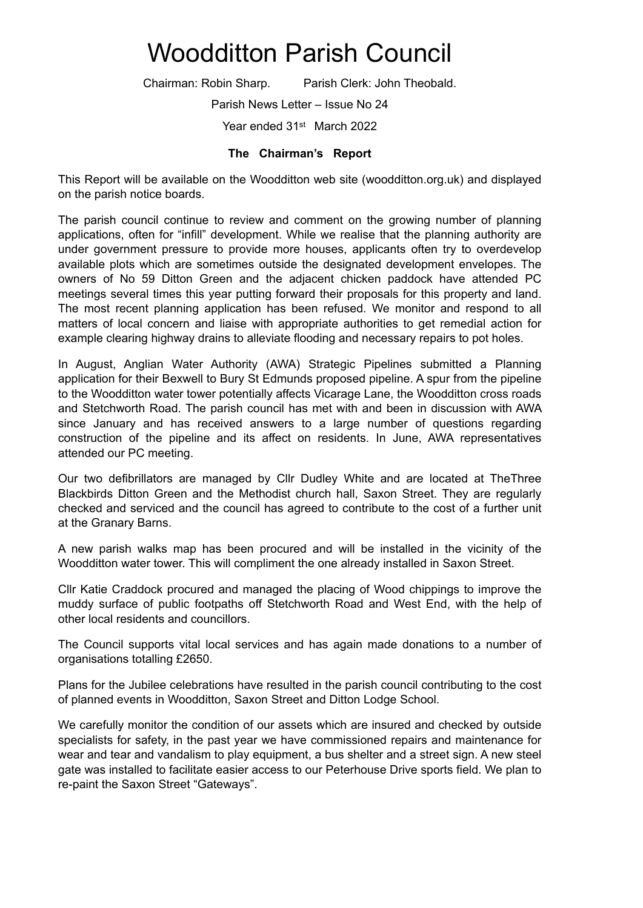## Woodditton Parish Council

Chairman: Robin Sharp. Parish Clerk: John Theobald.

Parish News Letter – Issue No 24

Year ended 31st March 2022

## **The Chairman's Report**

This Report will be available on the Woodditton web site (woodditton.org.uk) and displayed on the parish notice boards.

The parish council continue to review and comment on the growing number of planning applications, often for "infill" development. While we realise that the planning authority are under government pressure to provide more houses, applicants often try to overdevelop available plots which are sometimes outside the designated development envelopes. The owners of No 59 Ditton Green and the adjacent chicken paddock have attended PC meetings several times this year putting forward their proposals for this property and land. The most recent planning application has been refused. We monitor and respond to all matters of local concern and liaise with appropriate authorities to get remedial action for example clearing highway drains to alleviate flooding and necessary repairs to pot holes.

In August, Anglian Water Authority (AWA) Strategic Pipelines submitted a Planning application for their Bexwell to Bury St Edmunds proposed pipeline. A spur from the pipeline to the Woodditton water tower potentially affects Vicarage Lane, the Woodditton cross roads and Stetchworth Road. The parish council has met with and been in discussion with AWA since January and has received answers to a large number of questions regarding construction of the pipeline and its affect on residents. In June, AWA representatives attended our PC meeting.

Our two defibrillators are managed by Cllr Dudley White and are located at TheThree Blackbirds Ditton Green and the Methodist church hall, Saxon Street. They are regularly checked and serviced and the council has agreed to contribute to the cost of a further unit at the Granary Barns.

A new parish walks map has been procured and will be installed in the vicinity of the Woodditton water tower. This will compliment the one already installed in Saxon Street.

Cllr Katie Craddock procured and managed the placing of Wood chippings to improve the muddy surface of public footpaths off Stetchworth Road and West End, with the help of other local residents and councillors.

The Council supports vital local services and has again made donations to a number of organisations totalling £2650.

Plans for the Jubilee celebrations have resulted in the parish council contributing to the cost of planned events in Woodditton, Saxon Street and Ditton Lodge School.

We carefully monitor the condition of our assets which are insured and checked by outside specialists for safety, in the past year we have commissioned repairs and maintenance for wear and tear and vandalism to play equipment, a bus shelter and a street sign. A new steel gate was installed to facilitate easier access to our Peterhouse Drive sports field. We plan to re-paint the Saxon Street "Gateways".